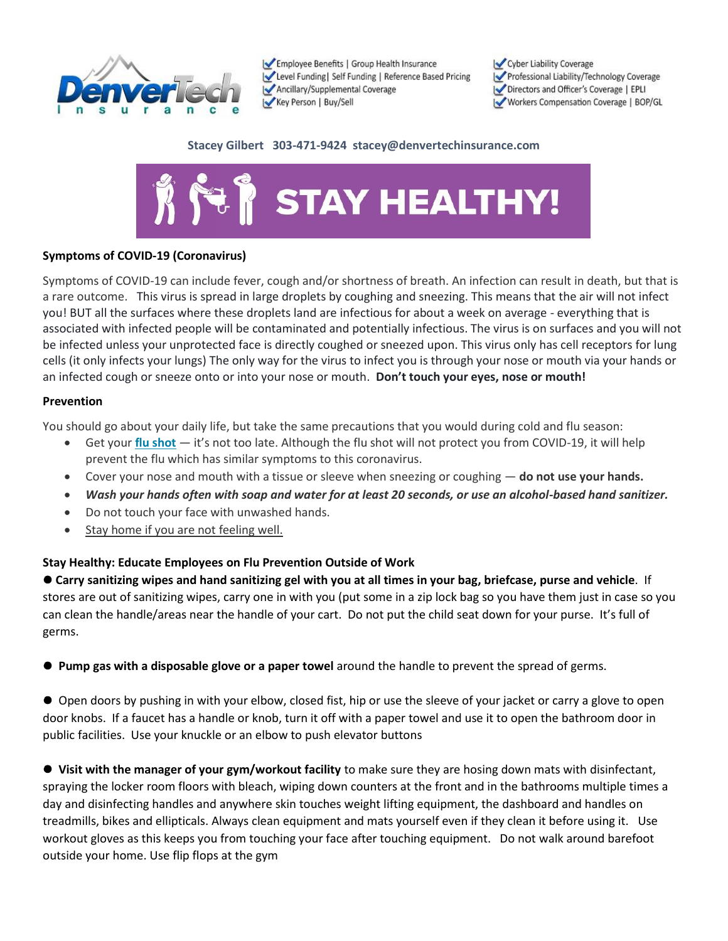

Employee Benefits | Group Health Insurance Level Funding | Self Funding | Reference Based Pricing Ancillary/Supplemental Coverage Key Person | Buy/Sell

Cyber Liability Coverage Professional Liability/Technology Coverage Directors and Officer's Coverage | EPLI Workers Compensation Coverage | BOP/GL

#### **Stacey Gilbert 303-471-9424 stacey@denvertechinsurance.com**



## **Symptoms of COVID-19 (Coronavirus)**

Symptoms of COVID-19 can include fever, cough and/or shortness of breath. An infection can result in death, but that is a rare outcome. This virus is spread in large droplets by coughing and sneezing. This means that the air will not infect you! BUT all the surfaces where these droplets land are infectious for about a week on average - everything that is associated with infected people will be contaminated and potentially infectious. The virus is on surfaces and you will not be infected unless your unprotected face is directly coughed or sneezed upon. This virus only has cell receptors for lung cells (it only infects your lungs) The only way for the virus to infect you is through your nose or mouth via your hands or an infected cough or sneeze onto or into your nose or mouth. **Don't touch your eyes, nose or mouth!**

#### **Prevention**

You should go about your daily life, but take the same precautions that you would during cold and flu season:

- Get your **flu shot** it's not too late. Although the flu shot will not protect you from COVID-19, it will help prevent the flu which has similar symptoms to this coronavirus.
- Cover your nose and mouth with a tissue or sleeve when sneezing or coughing **do not use your hands.**
- *Wash your hands often with soap and water for at least 20 seconds, or use an alcohol-based hand sanitizer.*
- Do not touch your face with unwashed hands.
- Stay home if you are not feeling well.

## **Stay Healthy: Educate Employees on Flu Prevention Outside of Work**

⚫ **Carry sanitizing wipes and hand sanitizing gel with you at all times in your bag, briefcase, purse and vehicle**. If stores are out of sanitizing wipes, carry one in with you (put some in a zip lock bag so you have them just in case so you can clean the handle/areas near the handle of your cart. Do not put the child seat down for your purse. It's full of germs.

⚫ **Pump gas with a disposable glove or a paper towel** around the handle to prevent the spread of germs.

● Open doors by pushing in with your elbow, closed fist, hip or use the sleeve of your jacket or carry a glove to open door knobs. If a faucet has a handle or knob, turn it off with a paper towel and use it to open the bathroom door in public facilities. Use your knuckle or an elbow to push elevator buttons

⚫ **Visit with the manager of your gym/workout facility** to make sure they are hosing down mats with disinfectant, spraying the locker room floors with bleach, wiping down counters at the front and in the bathrooms multiple times a day and disinfecting handles and anywhere skin touches weight lifting equipment, the dashboard and handles on treadmills, bikes and ellipticals. Always clean equipment and mats yourself even if they clean it before using it. Use workout gloves as this keeps you from touching your face after touching equipment. Do not walk around barefoot outside your home. Use flip flops at the gym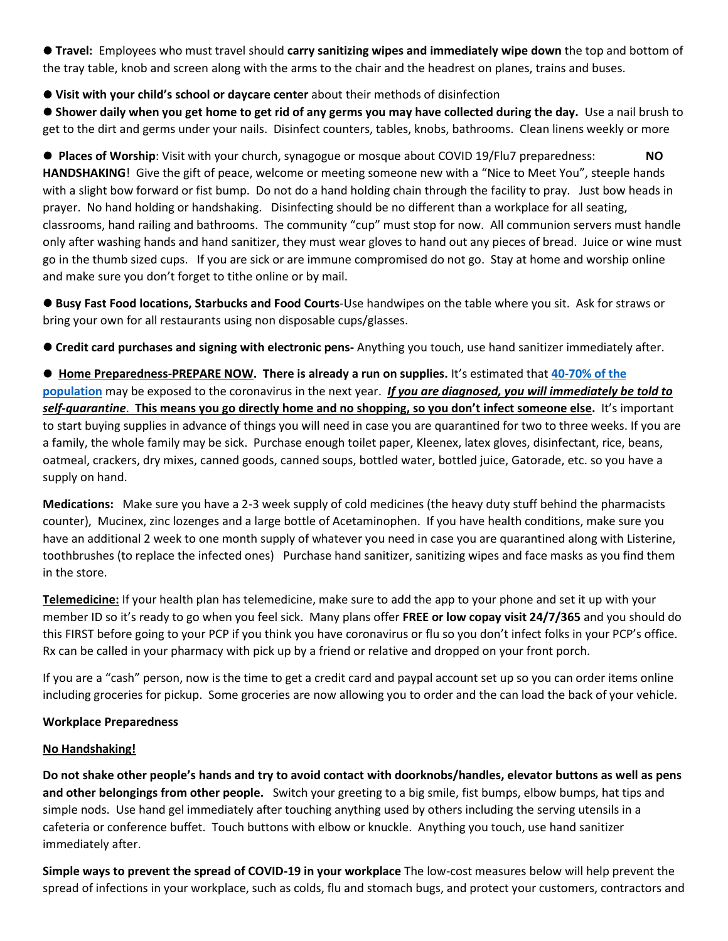⚫ **Travel:** Employees who must travel should **carry sanitizing wipes and immediately wipe down** the top and bottom of the tray table, knob and screen along with the arms to the chair and the headrest on planes, trains and buses.

⚫ **Visit with your child's school or daycare center** about their methods of disinfection

⚫ **Shower daily when you get home to get rid of any germs you may have collected during the day.** Use a nail brush to get to the dirt and germs under your nails. Disinfect counters, tables, knobs, bathrooms. Clean linens weekly or more

⚫ **Places of Worship**: Visit with your church, synagogue or mosque about COVID 19/Flu7 preparedness: **NO HANDSHAKING**! Give the gift of peace, welcome or meeting someone new with a "Nice to Meet You", steeple hands with a slight bow forward or fist bump. Do not do a hand holding chain through the facility to pray. Just bow heads in prayer. No hand holding or handshaking. Disinfecting should be no different than a workplace for all seating, classrooms, hand railing and bathrooms. The community "cup" must stop for now. All communion servers must handle only after washing hands and hand sanitizer, they must wear gloves to hand out any pieces of bread. Juice or wine must go in the thumb sized cups. If you are sick or are immune compromised do not go. Stay at home and worship online and make sure you don't forget to tithe online or by mail.

⚫ **Busy Fast Food locations, Starbucks and Food Courts**-Use handwipes on the table where you sit. Ask for straws or bring your own for all restaurants using non disposable cups/glasses.

⚫ **Credit card purchases and signing with electronic pens-** Anything you touch, use hand sanitizer immediately after.

⚫ **Home Preparedness-PREPARE NOW. There is already a run on supplies.** It's estimated that **40-70% of the population** may be exposed to the coronavirus in the next year. *If you are diagnosed, you will immediately be told to self-quarantine*. **This means you go directly home and no shopping, so you don't infect someone else.** It's important to start buying supplies in advance of things you will need in case you are quarantined for two to three weeks. If you are a family, the whole family may be sick. Purchase enough toilet paper, Kleenex, latex gloves, disinfectant, rice, beans, oatmeal, crackers, dry mixes, canned goods, canned soups, bottled water, bottled juice, Gatorade, etc. so you have a supply on hand.

**Medications:** Make sure you have a 2-3 week supply of cold medicines (the heavy duty stuff behind the pharmacists counter), Mucinex, zinc lozenges and a large bottle of Acetaminophen. If you have health conditions, make sure you have an additional 2 week to one month supply of whatever you need in case you are quarantined along with Listerine, toothbrushes (to replace the infected ones) Purchase hand sanitizer, sanitizing wipes and face masks as you find them in the store.

**Telemedicine:** If your health plan has telemedicine, make sure to add the app to your phone and set it up with your member ID so it's ready to go when you feel sick. Many plans offer **FREE or low copay visit 24/7/365** and you should do this FIRST before going to your PCP if you think you have coronavirus or flu so you don't infect folks in your PCP's office. Rx can be called in your pharmacy with pick up by a friend or relative and dropped on your front porch.

If you are a "cash" person, now is the time to get a credit card and paypal account set up so you can order items online including groceries for pickup. Some groceries are now allowing you to order and the can load the back of your vehicle.

## **Workplace Preparedness**

## **No Handshaking!**

**Do not shake other people's hands and try to avoid contact with doorknobs/handles, elevator buttons as well as pens and other belongings from other people.** Switch your greeting to a big smile, fist bumps, elbow bumps, hat tips and simple nods. Use hand gel immediately after touching anything used by others including the serving utensils in a cafeteria or conference buffet. Touch buttons with elbow or knuckle. Anything you touch, use hand sanitizer immediately after.

**Simple ways to prevent the spread of COVID-19 in your workplace** The low-cost measures below will help prevent the spread of infections in your workplace, such as colds, flu and stomach bugs, and protect your customers, contractors and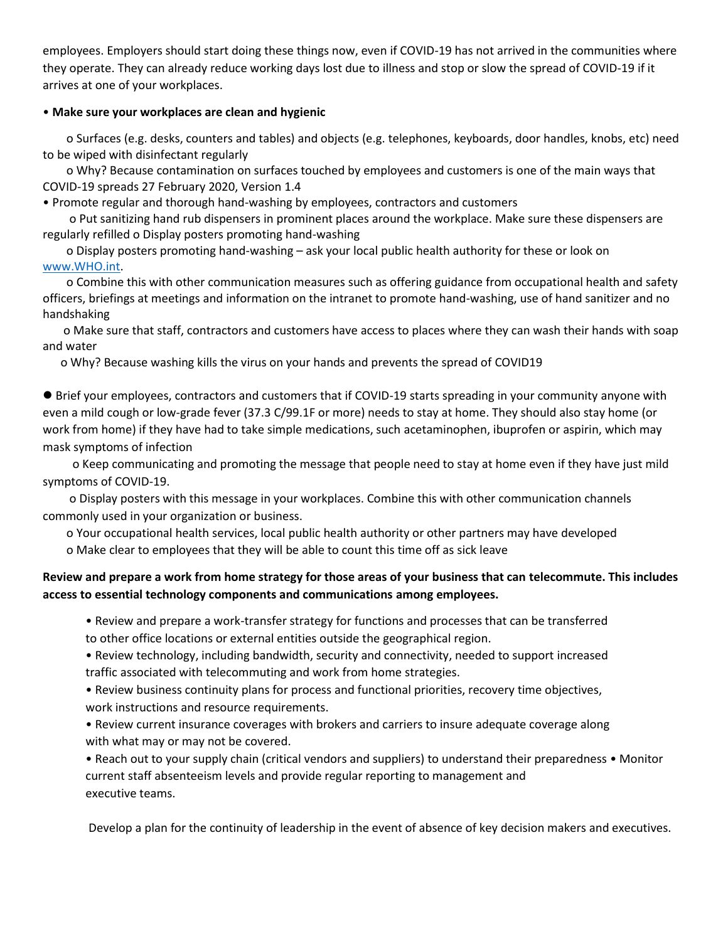employees. Employers should start doing these things now, even if COVID-19 has not arrived in the communities where they operate. They can already reduce working days lost due to illness and stop or slow the spread of COVID-19 if it arrives at one of your workplaces.

## • **Make sure your workplaces are clean and hygienic**

 o Surfaces (e.g. desks, counters and tables) and objects (e.g. telephones, keyboards, door handles, knobs, etc) need to be wiped with disinfectant regularly

 o Why? Because contamination on surfaces touched by employees and customers is one of the main ways that COVID-19 spreads 27 February 2020, Version 1.4

• Promote regular and thorough hand-washing by employees, contractors and customers

 o Put sanitizing hand rub dispensers in prominent places around the workplace. Make sure these dispensers are regularly refilled o Display posters promoting hand-washing

 o Display posters promoting hand-washing – ask your local public health authority for these or look on www.WHO.int.

 o Combine this with other communication measures such as offering guidance from occupational health and safety officers, briefings at meetings and information on the intranet to promote hand-washing, use of hand sanitizer and no handshaking

 o Make sure that staff, contractors and customers have access to places where they can wash their hands with soap and water

o Why? Because washing kills the virus on your hands and prevents the spread of COVID19

⚫ Brief your employees, contractors and customers that if COVID-19 starts spreading in your community anyone with even a mild cough or low-grade fever (37.3 C/99.1F or more) needs to stay at home. They should also stay home (or work from home) if they have had to take simple medications, such acetaminophen, ibuprofen or aspirin, which may mask symptoms of infection

 o Keep communicating and promoting the message that people need to stay at home even if they have just mild symptoms of COVID-19.

 o Display posters with this message in your workplaces. Combine this with other communication channels commonly used in your organization or business.

 o Your occupational health services, local public health authority or other partners may have developed o Make clear to employees that they will be able to count this time off as sick leave

# **Review and prepare a work from home strategy for those areas of your business that can telecommute. This includes access to essential technology components and communications among employees.**

• Review and prepare a work-transfer strategy for functions and processes that can be transferred to other office locations or external entities outside the geographical region.

• Review technology, including bandwidth, security and connectivity, needed to support increased traffic associated with telecommuting and work from home strategies.

• Review business continuity plans for process and functional priorities, recovery time objectives, work instructions and resource requirements.

• Review current insurance coverages with brokers and carriers to insure adequate coverage along with what may or may not be covered.

• Reach out to your supply chain (critical vendors and suppliers) to understand their preparedness • Monitor current staff absenteeism levels and provide regular reporting to management and executive teams.

Develop a plan for the continuity of leadership in the event of absence of key decision makers and executives.